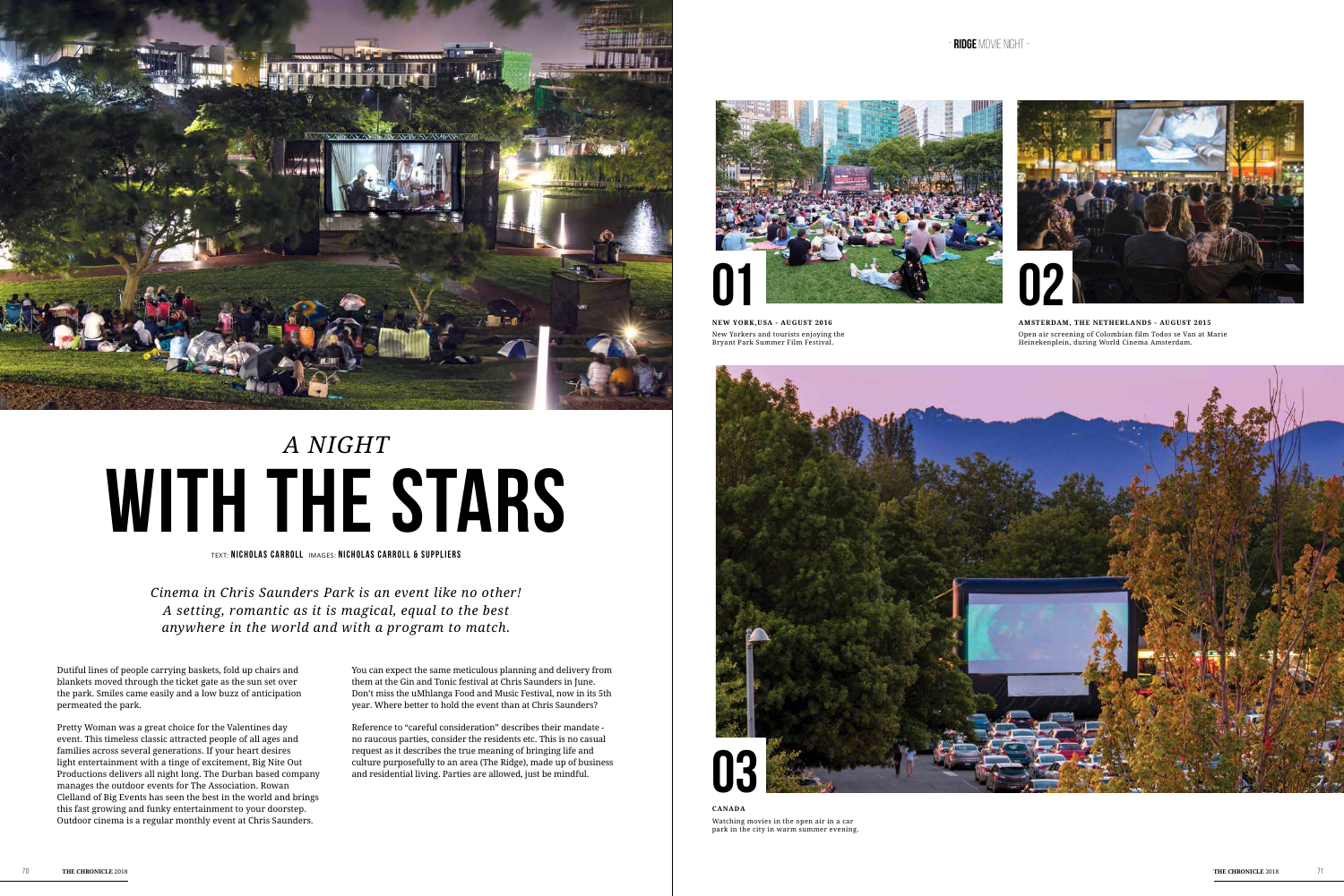Dutiful lines of people carrying baskets, fold up chairs and blankets moved through the ticket gate as the sun set over the park. Smiles came easily and a low buzz of anticipation permeated the park.

Pretty Woman was a great choice for the Valentines day event. This timeless classic attracted people of all ages and families across several generations. If your heart desires light entertainment with a tinge of excitement, Big Nite Out Productions delivers all night long. The Durban based company manages the outdoor events for The Association. Rowan Clelland of Big Events has seen the best in the world and brings this fast growing and funky entertainment to your doorstep. Outdoor cinema is a regular monthly event at Chris Saunders.

You can expect the same meticulous planning and delivery from them at the Gin and Tonic festival at Chris Saunders in June. Don't miss the uMhlanga Food and Music Festival, now in its 5th year. Where better to hold the event than at Chris Saunders?

Reference to "careful consideration" describes their mandate no raucous parties, consider the residents etc. This is no casual request as it describes the true meaning of bringing life and culture purposefully to an area (The Ridge), made up of business and residential living. Parties are allowed, just be mindful.

TEXT: **NICHOLAS CARROLL** IMAGES: **NICHOLAS CARROLL & SUP PLIERS**



## **with the stars** *A night*

*Cinema in Chris Saunders Park is an event like no other! A setting, romantic as it is magical, equal to the best anywhere in the world and with a program to match.*

**NEW YORK,USA - AUGUST 2016** New Yorkers and tourists enjoying the Bryant Park Summer Film Festival.





**CANADA** Watching movies in the open air in a car park in the city in warm summer evening.

**Amsterdam, The Netherlands - AUGUST 2015** Open air screening of Colombian film Todos se Van at Marie Heinekenplein, during World Cinema Amsterdam.